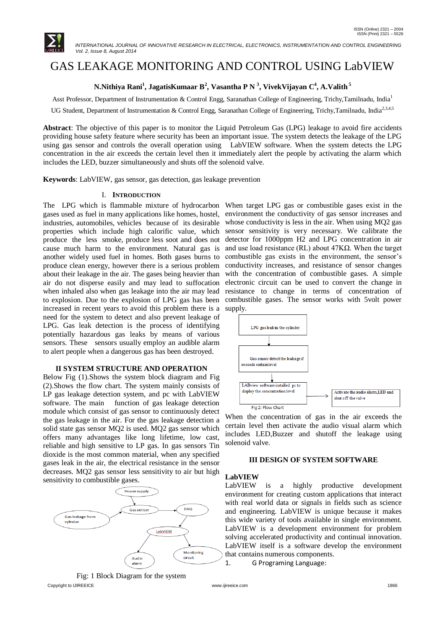

 *INTERNATIONAL JOURNAL OF INNOVATIVE RESEARCH IN ELECTRICAL, ELECTRONICS, INSTRUMENTATION AND CONTROL ENGINEERING Vol. 2, Issue 8, August 2014*

# GAS LEAKAGE MONITORING AND CONTROL USING LabVIEW

# **N.Nithiya Rani<sup>1</sup> , JagatisKumaar B<sup>2</sup> , Vasantha P N <sup>3</sup> , VivekVijayan C<sup>4</sup> , A.Valith <sup>5</sup>**

Asst Professor, Department of Instrumentation & Control Engg, Saranathan College of Engineering, Trichy, Tamilnadu, India<sup>1</sup>

UG Student, Department of Instrumentation & Control Engg, Saranathan College of Engineering, Trichy,Tamilnadu, India<sup>2,3,4,5</sup>

**Abstract**: The objective of this paper is to monitor the Liquid Petroleum Gas (LPG) leakage to avoid fire accidents providing house safety feature where security has been an important issue. The system detects the leakage of the LPG using gas sensor and controls the overall operation using LabVIEW software. When the system detects the LPG concentration in the air exceeds the certain level then it immediately alert the people by activating the alarm which includes the LED, buzzer simultaneously and shuts off the solenoid valve.

**Keywords**: LabVIEW, gas sensor, gas detection, gas leakage prevention

#### I. **INTRODUCTION**

The LPG which is flammable mixture of hydrocarbon gases used as fuel in many applications like homes, hostel, industries, automobiles, vehicles because of its desirable properties which include high calorific value, which produce the less smoke, produce less soot and does not cause much harm to the environment. Natural gas is another widely used fuel in homes. Both gases burns to produce clean energy, however there is a serious problem about their leakage in the air. The gases being heavier than air do not disperse easily and may lead to suffocation when inhaled also when gas leakage into the air may lead to explosion. Due to the explosion of LPG gas has been increased in recent years to avoid this problem there is a need for the system to detect and also prevent leakage of LPG. Gas leak detection is the process of identifying potentially hazardous gas leaks by means of various sensors. These sensors usually employ an audible alarm to alert people when a dangerous gas has been destroyed.

#### **II SYSTEM STRUCTURE AND OPERATION**

Below Fig (1).Shows the system block diagram and Fig (2).Shows the flow chart. The system mainly consists of LP gas leakage detection system, and pc with LabVIEW software. The main function of gas leakage detection module which consist of gas sensor to continuously detect the gas leakage in the air. For the gas leakage detection a solid state gas sensor MQ2 is used. MQ2 gas sensor which offers many advantages like long lifetime, low cast, reliable and high sensitive to LP gas. In gas sensors Tin dioxide is the most common material, when any specified gases leak in the air, the electrical resistance in the sensor decreases. MQ2 gas sensor less sensitivity to air but high sensitivity to combustible gases.



Copyright to IJIREEICE [www.ijireeice.com](http://www.ijireeice.com/) 1866 Fig: 1 Block Diagram for the system

When target LPG gas or combustible gases exist in the environment the conductivity of gas sensor increases and whose conductivity is less in the air. When using MQ2 gas sensor sensitivity is very necessary. We calibrate the detector for 1000ppm H2 and LPG concentration in air and use load resistance (RL) about 47KΩ. When the target combustible gas exists in the environment, the sensor's conductivity increases, and resistance of sensor changes with the concentration of combustible gases. A simple electronic circuit can be used to convert the change in resistance to change in terms of concentration of combustible gases. The sensor works with 5volt power supply.



When the concentration of gas in the air exceeds the certain level then activate the audio visual alarm which includes LED,Buzzer and shutoff the leakage using solenoid valve.

#### **III DESIGN OF SYSTEM SOFTWARE**

### **LabVIEW**

LabVIEW is a highly productive development environment for creating custom applications that interact with real world data or signals in fields such as science and engineering. LabVIEW is unique because it makes this wide variety of tools available in single environment. LabVIEW is a development environment for problem solving accelerated productivity and continual innovation. LabVIEW itself is a software develop the environment that contains numerous components.

1. G Programing Language: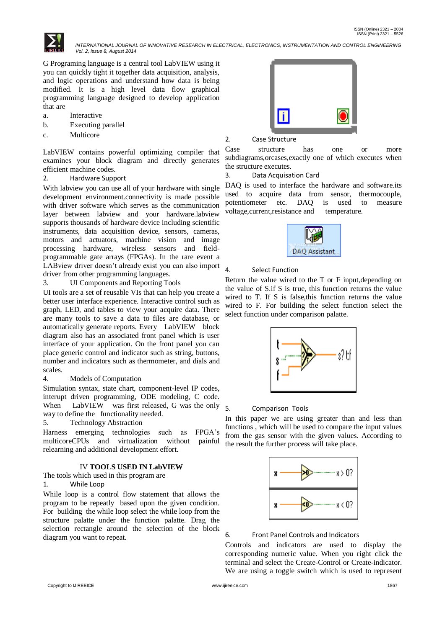

 *INTERNATIONAL JOURNAL OF INNOVATIVE RESEARCH IN ELECTRICAL, ELECTRONICS, INSTRUMENTATION AND CONTROL ENGINEERING Vol. 2, Issue 8, August 2014*

G Programing language is a central tool LabVIEW using it you can quickly tight it together data acquisition, analysis, and logic operations and understand how data is being modified. It is a high level data flow graphical programming language designed to develop application that are

- a. Interactive
- b. Executing parallel
- c. Multicore

LabVIEW contains powerful optimizing compiler that examines your block diagram and directly generates efficient machine codes.

2. Hardware Support

With labview you can use all of your hardware with single development environment.connectivity is made possible with driver software which serves as the communication layer between labview and your hardware.labview supports thousands of hardware device including scientific instruments, data acquisition device, sensors, cameras, motors and actuators, machine vision and image processing hardware, wireless sensors and fieldprogrammable gate arrays (FPGAs). In the rare event a LABview driver doesn't already exist you can also import driver from other programming languages.

3. UI Components and Reporting Tools

UI tools are a set of reusable VIs that can help you create a better user interface experience. Interactive control such as graph, LED, and tables to view your acquire data. There are many tools to save a data to files are database, or automatically generate reports. Every LabVIEW block diagram also has an associated front panel which is user interface of your application. On the front panel you can place generic control and indicator such as string, buttons, number and indicators such as thermometer, and dials and scales.

4. Models of Computation

Simulation syntax, state chart, component-level IP codes, interupt driven programming, ODE modeling, C code. When LabVIEW was first released, G was the only way to define the functionality needed.

5. Technology Abstraction

Harness emerging technologies such as FPGA's multicoreCPUs and virtualization without painful relearning and additional development effort.

# IV **TOOLS USED IN LabVIEW**

The tools which used in this program are

# 1. While Loop

While loop is a control flow statement that allows the program to be repeatly based upon the given condition. For building the while loop select the while loop from the structure palatte under the function palatte. Drag the selection rectangle around the selection of the block diagram you want to repeat.



#### 2. Case Structure

Case structure has one or more subdiagrams,orcases,exactly one of which executes when the structure executes.

3. Data Acquisation Card

DAQ is used to interface the hardware and software.its used to acquire data from sensor, thermocouple, potentiometer etc. DAQ is used to measure voltage,current,resistance and temperature.



#### 4. Select Function

Return the value wired to the T or F input,depending on the value of S.if S is true, this function returns the value wired to T. If S is false, this function returns the value wired to F. For building the select function select the select function under comparison palatte.



#### 5. Comparison Tools

In this paper we are using greater than and less than functions , which will be used to compare the input values from the gas sensor with the given values. According to the result the further process will take place.



### 6. Front Panel Controls and Indicators

Controls and indicators are used to display the corresponding numeric value. When you right click the terminal and select the Create-Control or Create-indicator. We are using a toggle switch which is used to represent